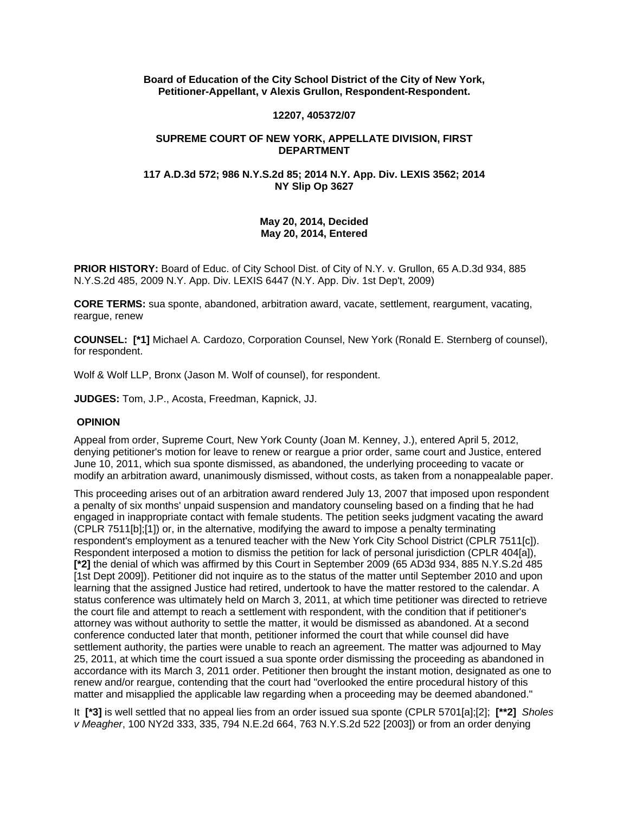**Board of Education of the City School District of the City of New York, Petitioner-Appellant, v Alexis Grullon, Respondent-Respondent.**

## **12207, 405372/07**

## **SUPREME COURT OF NEW YORK, APPELLATE DIVISION, FIRST DEPARTMENT**

## **117 A.D.3d 572; 986 N.Y.S.2d 85; 2014 N.Y. App. Div. LEXIS 3562; 2014 NY Slip Op 3627**

# **May 20, 2014, Decided May 20, 2014, Entered**

**PRIOR HISTORY:** Board of Educ. of City School Dist. of City of N.Y. v. Grullon, 65 A.D.3d 934, 885 N.Y.S.2d 485, 2009 N.Y. App. Div. LEXIS 6447 (N.Y. App. Div. 1st Dep't, 2009)

**CORE TERMS:** sua sponte, abandoned, arbitration award, vacate, settlement, reargument, vacating, reargue, renew

**COUNSEL: [\*1]** Michael A. Cardozo, Corporation Counsel, New York (Ronald E. Sternberg of counsel), for respondent.

Wolf & Wolf LLP, Bronx (Jason M. Wolf of counsel), for respondent.

**JUDGES:** Tom, J.P., Acosta, Freedman, Kapnick, JJ.

#### **OPINION**

Appeal from order, Supreme Court, New York County (Joan M. Kenney, J.), entered April 5, 2012, denying petitioner's motion for leave to renew or reargue a prior order, same court and Justice, entered June 10, 2011, which sua sponte dismissed, as abandoned, the underlying proceeding to vacate or modify an arbitration award, unanimously dismissed, without costs, as taken from a nonappealable paper.

This proceeding arises out of an arbitration award rendered July 13, 2007 that imposed upon respondent a penalty of six months' unpaid suspension and mandatory counseling based on a finding that he had engaged in inappropriate contact with female students. The petition seeks judgment vacating the award (CPLR 7511[b];[1]) or, in the alternative, modifying the award to impose a penalty terminating respondent's employment as a tenured teacher with the New York City School District (CPLR 7511[c]). Respondent interposed a motion to dismiss the petition for lack of personal jurisdiction (CPLR 404[a]), **[\*2]** the denial of which was affirmed by this Court in September 2009 (65 AD3d 934, 885 N.Y.S.2d 485 [1st Dept 2009]). Petitioner did not inquire as to the status of the matter until September 2010 and upon learning that the assigned Justice had retired, undertook to have the matter restored to the calendar. A status conference was ultimately held on March 3, 2011, at which time petitioner was directed to retrieve the court file and attempt to reach a settlement with respondent, with the condition that if petitioner's attorney was without authority to settle the matter, it would be dismissed as abandoned. At a second conference conducted later that month, petitioner informed the court that while counsel did have settlement authority, the parties were unable to reach an agreement. The matter was adjourned to May 25, 2011, at which time the court issued a sua sponte order dismissing the proceeding as abandoned in accordance with its March 3, 2011 order. Petitioner then brought the instant motion, designated as one to renew and/or reargue, contending that the court had "overlooked the entire procedural history of this matter and misapplied the applicable law regarding when a proceeding may be deemed abandoned."

It **[\*3]** is well settled that no appeal lies from an order issued sua sponte (CPLR 5701[a];[2]; **[\*\*2]** *Sholes v Meagher*, 100 NY2d 333, 335, 794 N.E.2d 664, 763 N.Y.S.2d 522 [2003]) or from an order denying